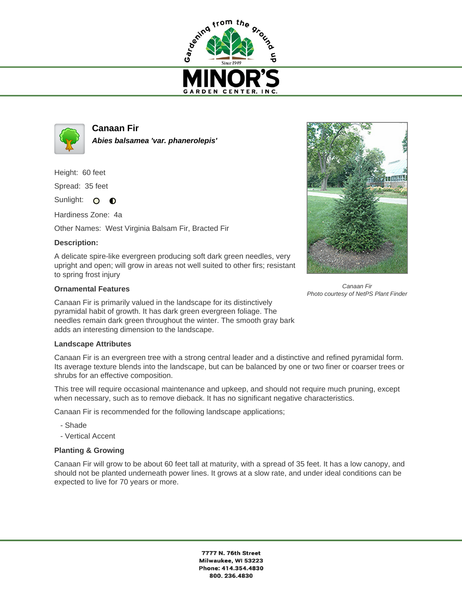



**Canaan Fir Abies balsamea 'var. phanerolepis'**

Height: 60 feet

Spread: 35 feet

Sunlight: O  $\bullet$ 

Hardiness Zone: 4a

Other Names: West Virginia Balsam Fir, Bracted Fir

## **Description:**

A delicate spire-like evergreen producing soft dark green needles, very upright and open; will grow in areas not well suited to other firs; resistant to spring frost injury

## **Ornamental Features**



Canaan Fir Photo courtesy of NetPS Plant Finder

Canaan Fir is primarily valued in the landscape for its distinctively pyramidal habit of growth. It has dark green evergreen foliage. The needles remain dark green throughout the winter. The smooth gray bark adds an interesting dimension to the landscape.

## **Landscape Attributes**

Canaan Fir is an evergreen tree with a strong central leader and a distinctive and refined pyramidal form. Its average texture blends into the landscape, but can be balanced by one or two finer or coarser trees or shrubs for an effective composition.

This tree will require occasional maintenance and upkeep, and should not require much pruning, except when necessary, such as to remove dieback. It has no significant negative characteristics.

Canaan Fir is recommended for the following landscape applications;

- Shade
- Vertical Accent

## **Planting & Growing**

Canaan Fir will grow to be about 60 feet tall at maturity, with a spread of 35 feet. It has a low canopy, and should not be planted underneath power lines. It grows at a slow rate, and under ideal conditions can be expected to live for 70 years or more.